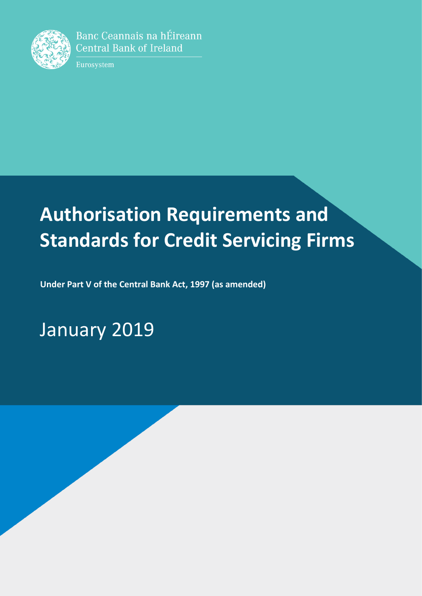

Banc Ceannais na hÉireann **Central Bank of Ireland** 

Eurosystem

# **Authorisation Requirements and Standards for Credit Servicing Firms**

**Under Part V of the Central Bank Act, 1997 (as amended)**

January 2019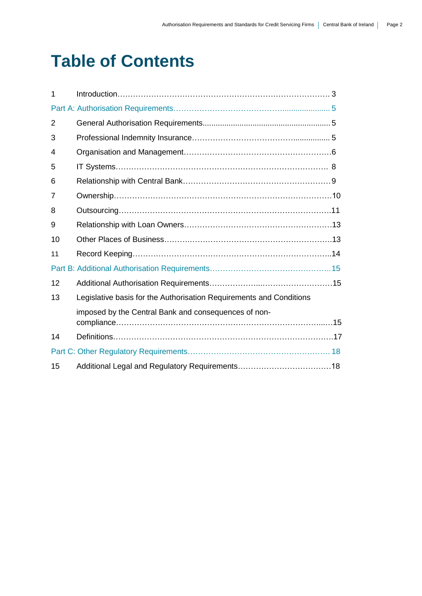## **Table of Contents**

| 1  |                                                                     |  |
|----|---------------------------------------------------------------------|--|
|    |                                                                     |  |
| 2  |                                                                     |  |
| 3  |                                                                     |  |
| 4  |                                                                     |  |
| 5  |                                                                     |  |
| 6  |                                                                     |  |
| 7  |                                                                     |  |
| 8  |                                                                     |  |
| 9  |                                                                     |  |
| 10 |                                                                     |  |
| 11 |                                                                     |  |
|    |                                                                     |  |
| 12 |                                                                     |  |
| 13 | Legislative basis for the Authorisation Requirements and Conditions |  |
|    | imposed by the Central Bank and consequences of non-                |  |
|    |                                                                     |  |
| 14 |                                                                     |  |
|    |                                                                     |  |
| 15 |                                                                     |  |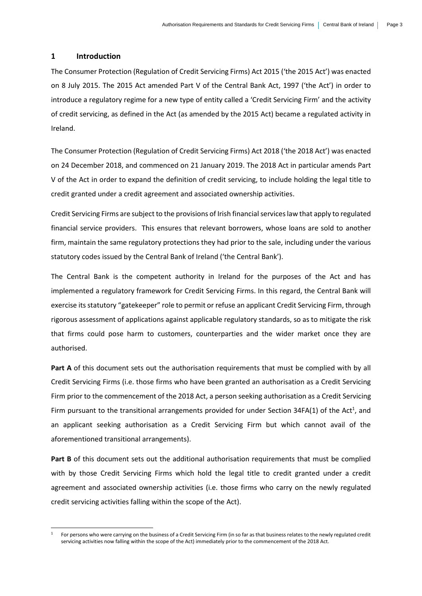#### **1 Introduction**

-

The Consumer Protection (Regulation of Credit Servicing Firms) Act 2015 ('the 2015 Act') was enacted on 8 July 2015. The 2015 Act amended Part V of the Central Bank Act, 1997 ('the Act') in order to introduce a regulatory regime for a new type of entity called a 'Credit Servicing Firm' and the activity of credit servicing, as defined in the Act (as amended by the 2015 Act) became a regulated activity in Ireland.

The Consumer Protection (Regulation of Credit Servicing Firms) Act 2018 ('the 2018 Act') was enacted on 24 December 2018, and commenced on 21 January 2019. The 2018 Act in particular amends Part V of the Act in order to expand the definition of credit servicing, to include holding the legal title to credit granted under a credit agreement and associated ownership activities.

Credit Servicing Firms are subject to the provisions of Irish financial services law that apply to regulated financial service providers. This ensures that relevant borrowers, whose loans are sold to another firm, maintain the same regulatory protections they had prior to the sale, including under the various statutory codes issued by the Central Bank of Ireland ('the Central Bank').

The Central Bank is the competent authority in Ireland for the purposes of the Act and has implemented a regulatory framework for Credit Servicing Firms. In this regard, the Central Bank will exercise its statutory "gatekeeper" role to permit or refuse an applicant Credit Servicing Firm, through rigorous assessment of applications against applicable regulatory standards, so as to mitigate the risk that firms could pose harm to customers, counterparties and the wider market once they are authorised.

**Part A** of this document sets out the authorisation requirements that must be complied with by all Credit Servicing Firms (i.e. those firms who have been granted an authorisation as a Credit Servicing Firm prior to the commencement of the 2018 Act, a person seeking authorisation as a Credit Servicing Firm pursuant to the transitional arrangements provided for under Section 34FA(1) of the Act<sup>1</sup>, and an applicant seeking authorisation as a Credit Servicing Firm but which cannot avail of the aforementioned transitional arrangements).

**Part B** of this document sets out the additional authorisation requirements that must be complied with by those Credit Servicing Firms which hold the legal title to credit granted under a credit agreement and associated ownership activities (i.e. those firms who carry on the newly regulated credit servicing activities falling within the scope of the Act).

<sup>1</sup> For persons who were carrying on the business of a Credit Servicing Firm (in so far as that business relates to the newly regulated credit servicing activities now falling within the scope of the Act) immediately prior to the commencement of the 2018 Act.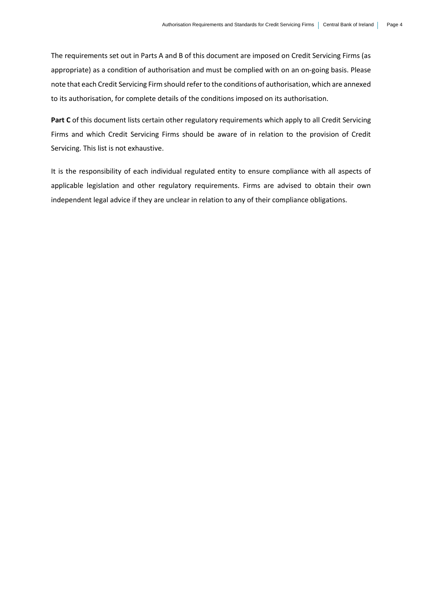The requirements set out in Parts A and B of this document are imposed on Credit Servicing Firms (as appropriate) as a condition of authorisation and must be complied with on an on-going basis. Please note that each Credit Servicing Firm should refer to the conditions of authorisation, which are annexed to its authorisation, for complete details of the conditions imposed on its authorisation.

Part C of this document lists certain other regulatory requirements which apply to all Credit Servicing Firms and which Credit Servicing Firms should be aware of in relation to the provision of Credit Servicing. This list is not exhaustive.

It is the responsibility of each individual regulated entity to ensure compliance with all aspects of applicable legislation and other regulatory requirements. Firms are advised to obtain their own independent legal advice if they are unclear in relation to any of their compliance obligations.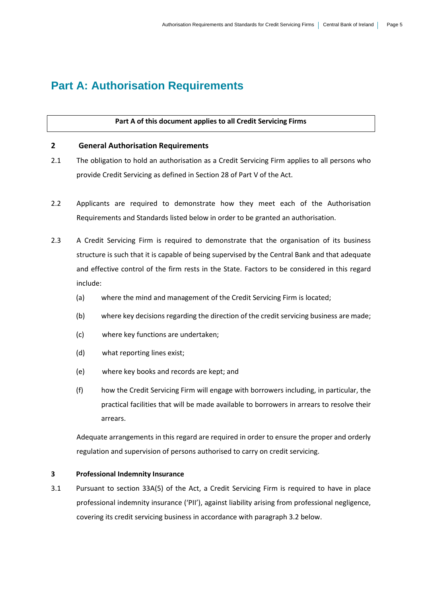## **Part A: Authorisation Requirements**

#### **Part A of this document applies to all Credit Servicing Firms**

#### **2 General Authorisation Requirements**

- 2.1 The obligation to hold an authorisation as a Credit Servicing Firm applies to all persons who provide Credit Servicing as defined in Section 28 of Part V of the Act.
- 2.2 Applicants are required to demonstrate how they meet each of the Authorisation Requirements and Standards listed below in order to be granted an authorisation.
- 2.3 A Credit Servicing Firm is required to demonstrate that the organisation of its business structure is such that it is capable of being supervised by the Central Bank and that adequate and effective control of the firm rests in the State. Factors to be considered in this regard include:
	- (a) where the mind and management of the Credit Servicing Firm is located;
	- (b) where key decisions regarding the direction of the credit servicing business are made;
	- (c) where key functions are undertaken;
	- (d) what reporting lines exist;
	- (e) where key books and records are kept; and
	- (f) how the Credit Servicing Firm will engage with borrowers including, in particular, the practical facilities that will be made available to borrowers in arrears to resolve their arrears.

Adequate arrangements in this regard are required in order to ensure the proper and orderly regulation and supervision of persons authorised to carry on credit servicing.

#### **3 Professional Indemnity Insurance**

3.1 Pursuant to section 33A(5) of the Act, a Credit Servicing Firm is required to have in place professional indemnity insurance ('PII'), against liability arising from professional negligence, covering its credit servicing business in accordance with paragraph 3.2 below.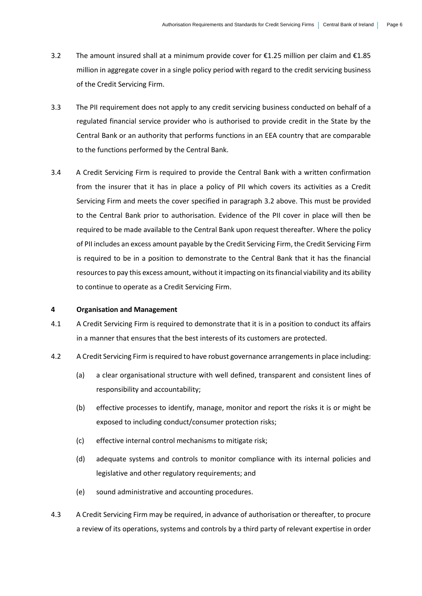- 3.2 The amount insured shall at a minimum provide cover for  $£1.25$  million per claim and  $£1.85$ million in aggregate cover in a single policy period with regard to the credit servicing business of the Credit Servicing Firm.
- 3.3 The PII requirement does not apply to any credit servicing business conducted on behalf of a regulated financial service provider who is authorised to provide credit in the State by the Central Bank or an authority that performs functions in an EEA country that are comparable to the functions performed by the Central Bank.
- 3.4 A Credit Servicing Firm is required to provide the Central Bank with a written confirmation from the insurer that it has in place a policy of PII which covers its activities as a Credit Servicing Firm and meets the cover specified in paragraph 3.2 above. This must be provided to the Central Bank prior to authorisation. Evidence of the PII cover in place will then be required to be made available to the Central Bank upon request thereafter. Where the policy of PII includes an excess amount payable by the Credit Servicing Firm, the Credit Servicing Firm is required to be in a position to demonstrate to the Central Bank that it has the financial resources to pay this excess amount, without it impacting on its financial viability and its ability to continue to operate as a Credit Servicing Firm.

#### **4 Organisation and Management**

- 4.1 A Credit Servicing Firm is required to demonstrate that it is in a position to conduct its affairs in a manner that ensures that the best interests of its customers are protected.
- 4.2 A Credit Servicing Firm is required to have robust governance arrangements in place including:
	- (a) a clear organisational structure with well defined, transparent and consistent lines of responsibility and accountability;
	- (b) effective processes to identify, manage, monitor and report the risks it is or might be exposed to including conduct/consumer protection risks;
	- (c) effective internal control mechanisms to mitigate risk;
	- (d) adequate systems and controls to monitor compliance with its internal policies and legislative and other regulatory requirements; and
	- (e) sound administrative and accounting procedures.
- 4.3 A Credit Servicing Firm may be required, in advance of authorisation or thereafter, to procure a review of its operations, systems and controls by a third party of relevant expertise in order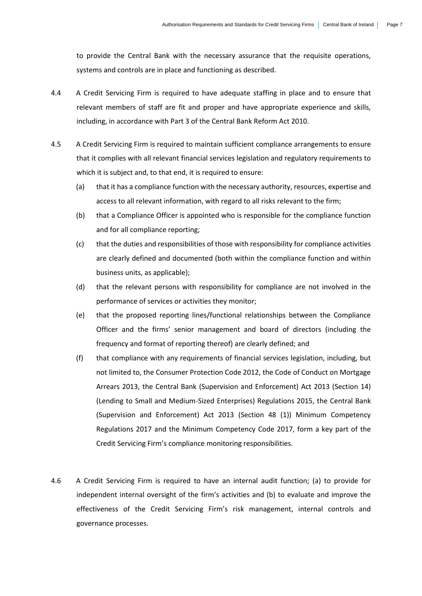to provide the Central Bank with the necessary assurance that the requisite operations, systems and controls are in place and functioning as described.

- 4.4 A Credit Servicing Firm is required to have adequate staffing in place and to ensure that relevant members of staff are fit and proper and have appropriate experience and skills, including, in accordance with Part 3 of the Central Bank Reform Act 2010.
- 4.5 A Credit Servicing Firm is required to maintain sufficient compliance arrangements to ensure that it complies with all relevant financial services legislation and regulatory requirements to which it is subject and, to that end, it is required to ensure:
	- (a) that it has a compliance function with the necessary authority, resources, expertise and access to all relevant information, with regard to all risks relevant to the firm;
	- (b) that a Compliance Officer is appointed who is responsible for the compliance function and for all compliance reporting;
	- (c) that the duties and responsibilities of those with responsibility for compliance activities are clearly defined and documented (both within the compliance function and within business units, as applicable);
	- (d) that the relevant persons with responsibility for compliance are not involved in the performance of services or activities they monitor;
	- (e) that the proposed reporting lines/functional relationships between the Compliance Officer and the firms' senior management and board of directors (including the frequency and format of reporting thereof) are clearly defined; and
	- (f) that compliance with any requirements of financial services legislation, including, but not limited to, the Consumer Protection Code 2012, the Code of Conduct on Mortgage Arrears 2013, the Central Bank (Supervision and Enforcement) Act 2013 (Section 14) (Lending to Small and Medium-Sized Enterprises) Regulations 2015, the Central Bank (Supervision and Enforcement) Act 2013 (Section 48 (1)) Minimum Competency Regulations 2017 and the Minimum Competency Code 2017, form a key part of the Credit Servicing Firm's compliance monitoring responsibilities.
- 4.6 A Credit Servicing Firm is required to have an internal audit function; (a) to provide for independent internal oversight of the firm's activities and (b) to evaluate and improve the effectiveness of the Credit Servicing Firm's risk management, internal controls and governance processes.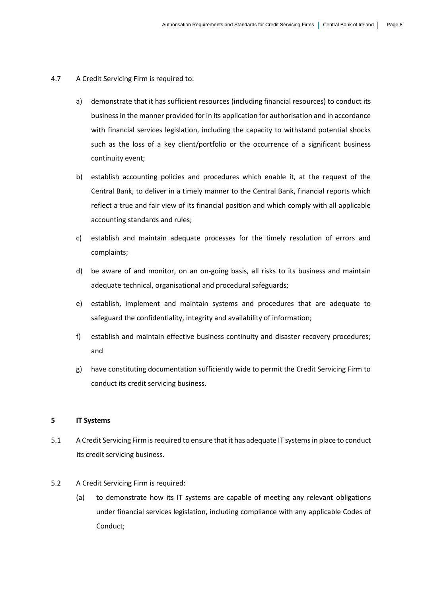#### 4.7 A Credit Servicing Firm is required to:

- a) demonstrate that it has sufficient resources (including financial resources) to conduct its business in the manner provided for in its application for authorisation and in accordance with financial services legislation, including the capacity to withstand potential shocks such as the loss of a key client/portfolio or the occurrence of a significant business continuity event;
- b) establish accounting policies and procedures which enable it, at the request of the Central Bank, to deliver in a timely manner to the Central Bank, financial reports which reflect a true and fair view of its financial position and which comply with all applicable accounting standards and rules;
- c) establish and maintain adequate processes for the timely resolution of errors and complaints;
- d) be aware of and monitor, on an on-going basis, all risks to its business and maintain adequate technical, organisational and procedural safeguards;
- e) establish, implement and maintain systems and procedures that are adequate to safeguard the confidentiality, integrity and availability of information;
- f) establish and maintain effective business continuity and disaster recovery procedures; and
- g) have constituting documentation sufficiently wide to permit the Credit Servicing Firm to conduct its credit servicing business.

#### **5 IT Systems**

5.1 A Credit Servicing Firm is required to ensure that it has adequate IT systems in place to conduct its credit servicing business.

#### 5.2 A Credit Servicing Firm is required:

(a) to demonstrate how its IT systems are capable of meeting any relevant obligations under financial services legislation, including compliance with any applicable Codes of Conduct;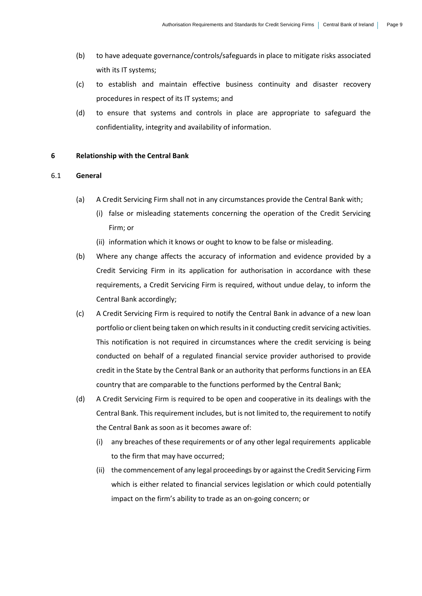- (b) to have adequate governance/controls/safeguards in place to mitigate risks associated with its IT systems;
- (c) to establish and maintain effective business continuity and disaster recovery procedures in respect of its IT systems; and
- (d) to ensure that systems and controls in place are appropriate to safeguard the confidentiality, integrity and availability of information.

#### **6 Relationship with the Central Bank**

#### 6.1 **General**

- (a) A Credit Servicing Firm shall not in any circumstances provide the Central Bank with;
	- (i) false or misleading statements concerning the operation of the Credit Servicing Firm; or
	- (ii) information which it knows or ought to know to be false or misleading.
- (b) Where any change affects the accuracy of information and evidence provided by a Credit Servicing Firm in its application for authorisation in accordance with these requirements, a Credit Servicing Firm is required, without undue delay, to inform the Central Bank accordingly;
- (c) A Credit Servicing Firm is required to notify the Central Bank in advance of a new loan portfolio or client being taken on which results in it conducting credit servicing activities. This notification is not required in circumstances where the credit servicing is being conducted on behalf of a regulated financial service provider authorised to provide credit in the State by the Central Bank or an authority that performs functions in an EEA country that are comparable to the functions performed by the Central Bank;
- (d) A Credit Servicing Firm is required to be open and cooperative in its dealings with the Central Bank. This requirement includes, but is not limited to, the requirement to notify the Central Bank as soon as it becomes aware of:
	- (i) any breaches of these requirements or of any other legal requirements applicable to the firm that may have occurred;
	- (ii) the commencement of any legal proceedings by or against the Credit Servicing Firm which is either related to financial services legislation or which could potentially impact on the firm's ability to trade as an on-going concern; or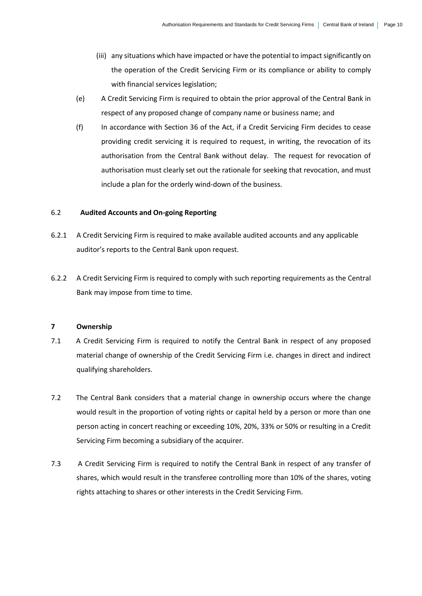- (iii) any situations which have impacted or have the potential to impact significantly on the operation of the Credit Servicing Firm or its compliance or ability to comply with financial services legislation;
- (e) A Credit Servicing Firm is required to obtain the prior approval of the Central Bank in respect of any proposed change of company name or business name; and
- (f) In accordance with Section 36 of the Act, if a Credit Servicing Firm decides to cease providing credit servicing it is required to request, in writing, the revocation of its authorisation from the Central Bank without delay. The request for revocation of authorisation must clearly set out the rationale for seeking that revocation, and must include a plan for the orderly wind-down of the business.

#### 6.2 **Audited Accounts and On-going Reporting**

- 6.2.1 A Credit Servicing Firm is required to make available audited accounts and any applicable auditor's reports to the Central Bank upon request.
- 6.2.2 A Credit Servicing Firm is required to comply with such reporting requirements as the Central Bank may impose from time to time.

#### **7 Ownership**

- 7.1 A Credit Servicing Firm is required to notify the Central Bank in respect of any proposed material change of ownership of the Credit Servicing Firm i.e. changes in direct and indirect qualifying shareholders.
- 7.2 The Central Bank considers that a material change in ownership occurs where the change would result in the proportion of voting rights or capital held by a person or more than one person acting in concert reaching or exceeding 10%, 20%, 33% or 50% or resulting in a Credit Servicing Firm becoming a subsidiary of the acquirer.
- 7.3 A Credit Servicing Firm is required to notify the Central Bank in respect of any transfer of shares, which would result in the transferee controlling more than 10% of the shares, voting rights attaching to shares or other interests in the Credit Servicing Firm.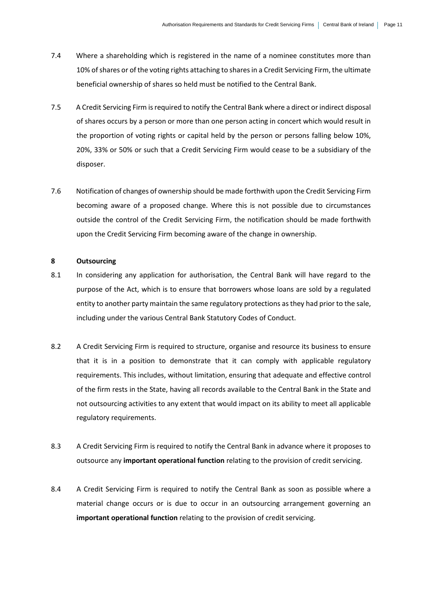- 7.4 Where a shareholding which is registered in the name of a nominee constitutes more than 10% of shares or of the voting rights attaching to shares in a Credit Servicing Firm, the ultimate beneficial ownership of shares so held must be notified to the Central Bank.
- 7.5 A Credit Servicing Firm is required to notify the Central Bank where a direct or indirect disposal of shares occurs by a person or more than one person acting in concert which would result in the proportion of voting rights or capital held by the person or persons falling below 10%, 20%, 33% or 50% or such that a Credit Servicing Firm would cease to be a subsidiary of the disposer.
- 7.6 Notification of changes of ownership should be made forthwith upon the Credit Servicing Firm becoming aware of a proposed change. Where this is not possible due to circumstances outside the control of the Credit Servicing Firm, the notification should be made forthwith upon the Credit Servicing Firm becoming aware of the change in ownership.

#### **8 Outsourcing**

- 8.1 In considering any application for authorisation, the Central Bank will have regard to the purpose of the Act, which is to ensure that borrowers whose loans are sold by a regulated entity to another party maintain the same regulatory protections as they had prior to the sale, including under the various Central Bank Statutory Codes of Conduct.
- 8.2 A Credit Servicing Firm is required to structure, organise and resource its business to ensure that it is in a position to demonstrate that it can comply with applicable regulatory requirements. This includes, without limitation, ensuring that adequate and effective control of the firm rests in the State, having all records available to the Central Bank in the State and not outsourcing activities to any extent that would impact on its ability to meet all applicable regulatory requirements.
- 8.3 A Credit Servicing Firm is required to notify the Central Bank in advance where it proposes to outsource any **important operational function** relating to the provision of credit servicing.
- 8.4 A Credit Servicing Firm is required to notify the Central Bank as soon as possible where a material change occurs or is due to occur in an outsourcing arrangement governing an **important operational function** relating to the provision of credit servicing.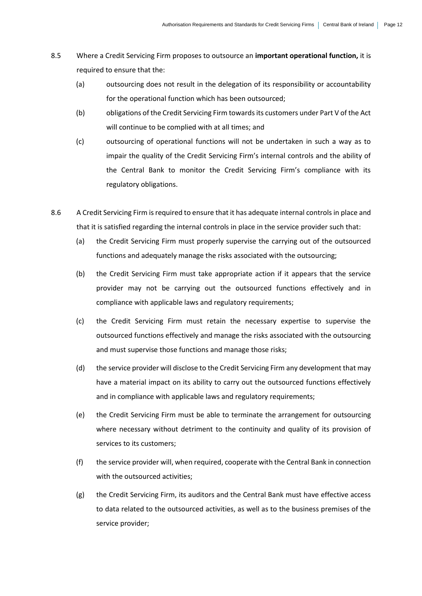- 8.5 Where a Credit Servicing Firm proposes to outsource an **important operational function,** it is required to ensure that the:
	- (a) outsourcing does not result in the delegation of its responsibility or accountability for the operational function which has been outsourced;
	- (b) obligations of the Credit Servicing Firm towards its customers under Part V of the Act will continue to be complied with at all times; and
	- (c) outsourcing of operational functions will not be undertaken in such a way as to impair the quality of the Credit Servicing Firm's internal controls and the ability of the Central Bank to monitor the Credit Servicing Firm's compliance with its regulatory obligations.
- 8.6 A Credit Servicing Firm is required to ensure that it has adequate internal controls in place and that it is satisfied regarding the internal controls in place in the service provider such that:
	- (a) the Credit Servicing Firm must properly supervise the carrying out of the outsourced functions and adequately manage the risks associated with the outsourcing;
	- (b) the Credit Servicing Firm must take appropriate action if it appears that the service provider may not be carrying out the outsourced functions effectively and in compliance with applicable laws and regulatory requirements;
	- (c) the Credit Servicing Firm must retain the necessary expertise to supervise the outsourced functions effectively and manage the risks associated with the outsourcing and must supervise those functions and manage those risks;
	- (d) the service provider will disclose to the Credit Servicing Firm any development that may have a material impact on its ability to carry out the outsourced functions effectively and in compliance with applicable laws and regulatory requirements;
	- (e) the Credit Servicing Firm must be able to terminate the arrangement for outsourcing where necessary without detriment to the continuity and quality of its provision of services to its customers;
	- (f) the service provider will, when required, cooperate with the Central Bank in connection with the outsourced activities;
	- (g) the Credit Servicing Firm, its auditors and the Central Bank must have effective access to data related to the outsourced activities, as well as to the business premises of the service provider;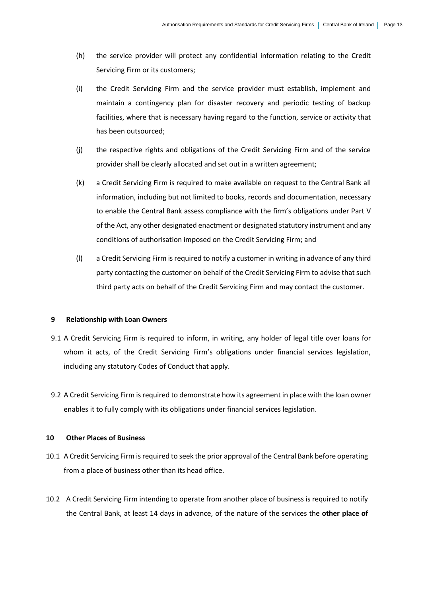- (h) the service provider will protect any confidential information relating to the Credit Servicing Firm or its customers;
- (i) the Credit Servicing Firm and the service provider must establish, implement and maintain a contingency plan for disaster recovery and periodic testing of backup facilities, where that is necessary having regard to the function, service or activity that has been outsourced;
- (j) the respective rights and obligations of the Credit Servicing Firm and of the service provider shall be clearly allocated and set out in a written agreement;
- (k) a Credit Servicing Firm is required to make available on request to the Central Bank all information, including but not limited to books, records and documentation, necessary to enable the Central Bank assess compliance with the firm's obligations under Part V of the Act, any other designated enactment or designated statutory instrument and any conditions of authorisation imposed on the Credit Servicing Firm; and
- (l) a Credit Servicing Firm is required to notify a customer in writing in advance of any third party contacting the customer on behalf of the Credit Servicing Firm to advise that such third party acts on behalf of the Credit Servicing Firm and may contact the customer.

#### **9 Relationship with Loan Owners**

- 9.1 A Credit Servicing Firm is required to inform, in writing, any holder of legal title over loans for whom it acts, of the Credit Servicing Firm's obligations under financial services legislation, including any statutory Codes of Conduct that apply.
- 9.2 A Credit Servicing Firm is required to demonstrate how its agreement in place with the loan owner enables it to fully comply with its obligations under financial services legislation.

#### **10 Other Places of Business**

- 10.1 A Credit Servicing Firm is required to seek the prior approval of the Central Bank before operating from a place of business other than its head office.
- 10.2 A Credit Servicing Firm intending to operate from another place of business is required to notify the Central Bank, at least 14 days in advance, of the nature of the services the **other place of**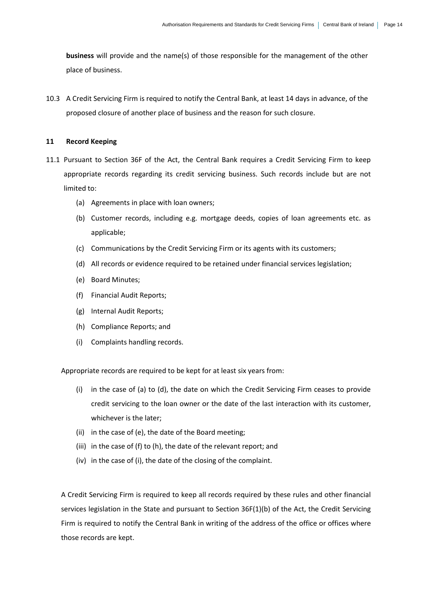**business** will provide and the name(s) of those responsible for the management of the other place of business.

10.3 A Credit Servicing Firm is required to notify the Central Bank, at least 14 days in advance, of the proposed closure of another place of business and the reason for such closure.

#### **11 Record Keeping**

- 11.1 Pursuant to Section 36F of the Act, the Central Bank requires a Credit Servicing Firm to keep appropriate records regarding its credit servicing business. Such records include but are not limited to:
	- (a) Agreements in place with loan owners;
	- (b) Customer records, including e.g. mortgage deeds, copies of loan agreements etc. as applicable;
	- (c) Communications by the Credit Servicing Firm or its agents with its customers;
	- (d) All records or evidence required to be retained under financial services legislation;
	- (e) Board Minutes;
	- (f) Financial Audit Reports;
	- (g) Internal Audit Reports;
	- (h) Compliance Reports; and
	- (i) Complaints handling records.

Appropriate records are required to be kept for at least six years from:

- (i) in the case of (a) to (d), the date on which the Credit Servicing Firm ceases to provide credit servicing to the loan owner or the date of the last interaction with its customer, whichever is the later;
- (ii) in the case of (e), the date of the Board meeting;
- (iii) in the case of (f) to (h), the date of the relevant report; and
- (iv) in the case of (i), the date of the closing of the complaint.

A Credit Servicing Firm is required to keep all records required by these rules and other financial services legislation in the State and pursuant to Section 36F(1)(b) of the Act, the Credit Servicing Firm is required to notify the Central Bank in writing of the address of the office or offices where those records are kept.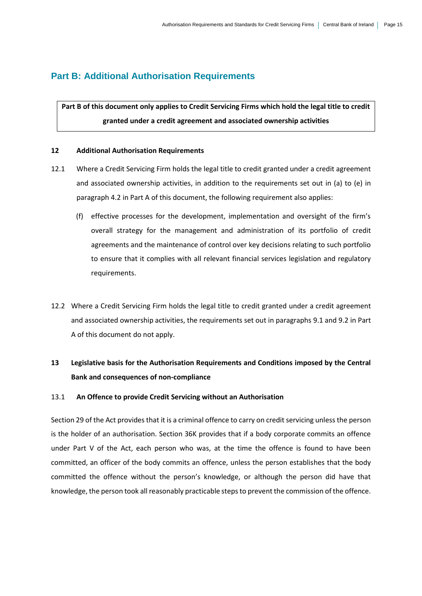## **Part B: Additional Authorisation Requirements**

**Part B of this document only applies to Credit Servicing Firms which hold the legal title to credit granted under a credit agreement and associated ownership activities**

#### **12 Additional Authorisation Requirements**

- 12.1 Where a Credit Servicing Firm holds the legal title to credit granted under a credit agreement and associated ownership activities, in addition to the requirements set out in (a) to (e) in paragraph 4.2 in Part A of this document, the following requirement also applies:
	- (f) effective processes for the development, implementation and oversight of the firm's overall strategy for the management and administration of its portfolio of credit agreements and the maintenance of control over key decisions relating to such portfolio to ensure that it complies with all relevant financial services legislation and regulatory requirements.
- 12.2 Where a Credit Servicing Firm holds the legal title to credit granted under a credit agreement and associated ownership activities, the requirements set out in paragraphs 9.1 and 9.2 in Part A of this document do not apply.

## **13 Legislative basis for the Authorisation Requirements and Conditions imposed by the Central Bank and consequences of non-compliance**

#### 13.1 **An Offence to provide Credit Servicing without an Authorisation**

Section 29 of the Act provides that it is a criminal offence to carry on credit servicing unless the person is the holder of an authorisation. Section 36K provides that if a body corporate commits an offence under Part V of the Act, each person who was, at the time the offence is found to have been committed, an officer of the body commits an offence, unless the person establishes that the body committed the offence without the person's knowledge, or although the person did have that knowledge, the person took all reasonably practicable steps to prevent the commission of the offence.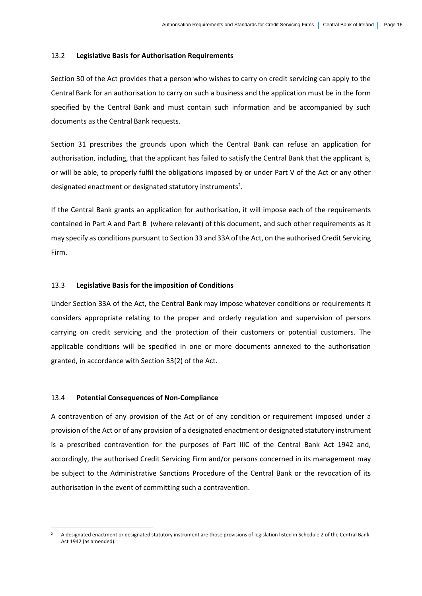#### 13.2 **Legislative Basis for Authorisation Requirements**

Section 30 of the Act provides that a person who wishes to carry on credit servicing can apply to the Central Bank for an authorisation to carry on such a business and the application must be in the form specified by the Central Bank and must contain such information and be accompanied by such documents as the Central Bank requests.

Section 31 prescribes the grounds upon which the Central Bank can refuse an application for authorisation, including, that the applicant has failed to satisfy the Central Bank that the applicant is, or will be able, to properly fulfil the obligations imposed by or under Part V of the Act or any other designated enactment or designated statutory instruments<sup>2</sup>.

If the Central Bank grants an application for authorisation, it will impose each of the requirements contained in Part A and Part B (where relevant) of this document, and such other requirements as it may specify as conditions pursuant to Section 33 and 33A of the Act, on the authorised Credit Servicing Firm.

#### 13.3 **Legislative Basis for the imposition of Conditions**

Under Section 33A of the Act, the Central Bank may impose whatever conditions or requirements it considers appropriate relating to the proper and orderly regulation and supervision of persons carrying on credit servicing and the protection of their customers or potential customers. The applicable conditions will be specified in one or more documents annexed to the authorisation granted, in accordance with Section 33(2) of the Act.

#### 13.4 **Potential Consequences of Non-Compliance**

-

A contravention of any provision of the Act or of any condition or requirement imposed under a provision of the Act or of any provision of a designated enactment or designated statutory instrument is a prescribed contravention for the purposes of Part IIIC of the Central Bank Act 1942 and, accordingly, the authorised Credit Servicing Firm and/or persons concerned in its management may be subject to the Administrative Sanctions Procedure of the Central Bank or the revocation of its authorisation in the event of committing such a contravention.

<sup>2</sup> A designated enactment or designated statutory instrument are those provisions of legislation listed in Schedule 2 of the Central Bank Act 1942 (as amended).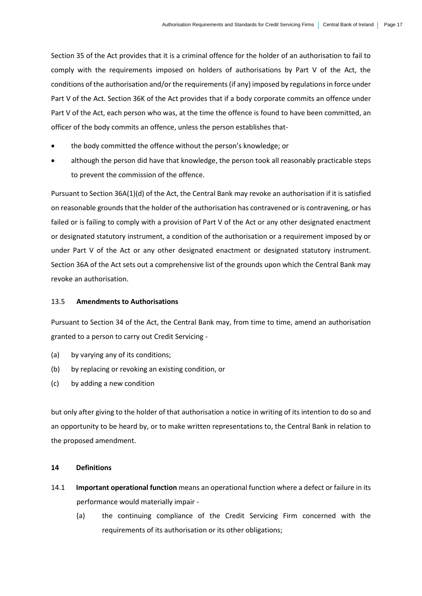Section 35 of the Act provides that it is a criminal offence for the holder of an authorisation to fail to comply with the requirements imposed on holders of authorisations by Part V of the Act, the conditions of the authorisation and/or the requirements (if any) imposed by regulations in force under Part V of the Act. Section 36K of the Act provides that if a body corporate commits an offence under Part V of the Act, each person who was, at the time the offence is found to have been committed, an officer of the body commits an offence, unless the person establishes that-

- the body committed the offence without the person's knowledge; or
- although the person did have that knowledge, the person took all reasonably practicable steps to prevent the commission of the offence.

Pursuant to Section 36A(1)(d) of the Act, the Central Bank may revoke an authorisation if it is satisfied on reasonable grounds that the holder of the authorisation has contravened or is contravening, or has failed or is failing to comply with a provision of Part V of the Act or any other designated enactment or designated statutory instrument, a condition of the authorisation or a requirement imposed by or under Part V of the Act or any other designated enactment or designated statutory instrument. Section 36A of the Act sets out a comprehensive list of the grounds upon which the Central Bank may revoke an authorisation.

#### 13.5 **Amendments to Authorisations**

Pursuant to Section 34 of the Act, the Central Bank may, from time to time, amend an authorisation granted to a person to carry out Credit Servicing -

- (a) by varying any of its conditions;
- (b) by replacing or revoking an existing condition, or
- (c) by adding a new condition

but only after giving to the holder of that authorisation a notice in writing of its intention to do so and an opportunity to be heard by, or to make written representations to, the Central Bank in relation to the proposed amendment.

#### **14 Definitions**

- 14.1 **Important operational function** means an operational function where a defect or failure in its performance would materially impair -
	- (a) the continuing compliance of the Credit Servicing Firm concerned with the requirements of its authorisation or its other obligations;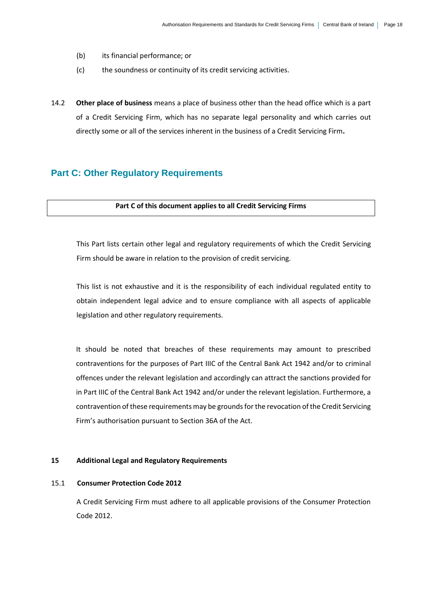- (b) its financial performance; or
- (c) the soundness or continuity of its credit servicing activities.
- 14.2 **Other place of business** means a place of business other than the head office which is a part of a Credit Servicing Firm, which has no separate legal personality and which carries out directly some or all of the services inherent in the business of a Credit Servicing Firm**.**

#### **Part C: Other Regulatory Requirements**

#### **Part C of this document applies to all Credit Servicing Firms**

This Part lists certain other legal and regulatory requirements of which the Credit Servicing Firm should be aware in relation to the provision of credit servicing.

This list is not exhaustive and it is the responsibility of each individual regulated entity to obtain independent legal advice and to ensure compliance with all aspects of applicable legislation and other regulatory requirements.

It should be noted that breaches of these requirements may amount to prescribed contraventions for the purposes of Part IIIC of the Central Bank Act 1942 and/or to criminal offences under the relevant legislation and accordingly can attract the sanctions provided for in Part IIIC of the Central Bank Act 1942 and/or under the relevant legislation. Furthermore, a contravention of these requirements may be grounds for the revocation of the Credit Servicing Firm's authorisation pursuant to Section 36A of the Act.

#### **15 Additional Legal and Regulatory Requirements**

#### 15.1 **Consumer Protection Code 2012**

A Credit Servicing Firm must adhere to all applicable provisions of the Consumer Protection Code 2012.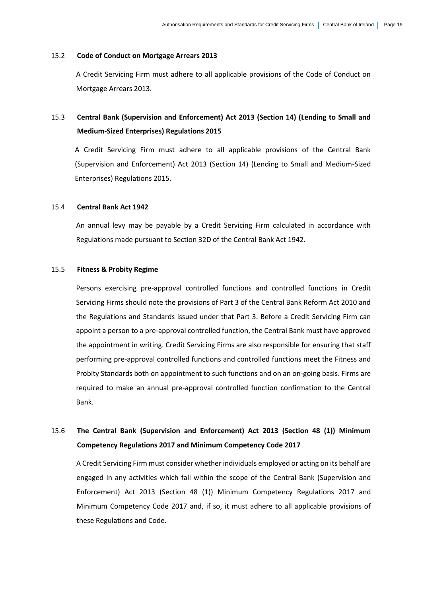#### 15.2 **Code of Conduct on Mortgage Arrears 2013**

A Credit Servicing Firm must adhere to all applicable provisions of the Code of Conduct on Mortgage Arrears 2013.

## 15.3 **Central Bank (Supervision and Enforcement) Act 2013 (Section 14) (Lending to Small and Medium-Sized Enterprises) Regulations 2015**

A Credit Servicing Firm must adhere to all applicable provisions of the Central Bank (Supervision and Enforcement) Act 2013 (Section 14) (Lending to Small and Medium-Sized Enterprises) Regulations 2015.

#### 15.4 **Central Bank Act 1942**

An annual levy may be payable by a Credit Servicing Firm calculated in accordance with Regulations made pursuant to Section 32D of the Central Bank Act 1942.

#### 15.5 **Fitness & Probity Regime**

Persons exercising pre-approval controlled functions and controlled functions in Credit Servicing Firms should note the provisions of Part 3 of the Central Bank Reform Act 2010 and the Regulations and Standards issued under that Part 3. Before a Credit Servicing Firm can appoint a person to a pre-approval controlled function, the Central Bank must have approved the appointment in writing. Credit Servicing Firms are also responsible for ensuring that staff performing pre-approval controlled functions and controlled functions meet the Fitness and Probity Standards both on appointment to such functions and on an on-going basis. Firms are required to make an annual pre-approval controlled function confirmation to the Central Bank.

## 15.6 **The Central Bank (Supervision and Enforcement) Act 2013 (Section 48 (1)) Minimum Competency Regulations 2017 and Minimum Competency Code 2017**

A Credit Servicing Firm must consider whether individuals employed or acting on its behalf are engaged in any activities which fall within the scope of the Central Bank (Supervision and Enforcement) Act 2013 (Section 48 (1)) Minimum Competency Regulations 2017 and Minimum Competency Code 2017 and, if so, it must adhere to all applicable provisions of these Regulations and Code.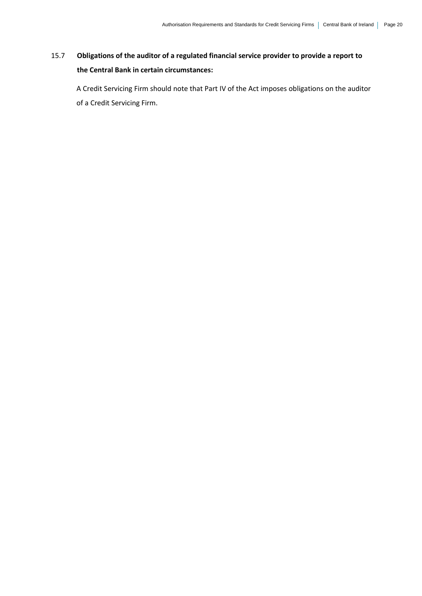## 15.7 **Obligations of the auditor of a regulated financial service provider to provide a report to the Central Bank in certain circumstances:**

A Credit Servicing Firm should note that Part IV of the Act imposes obligations on the auditor of a Credit Servicing Firm.